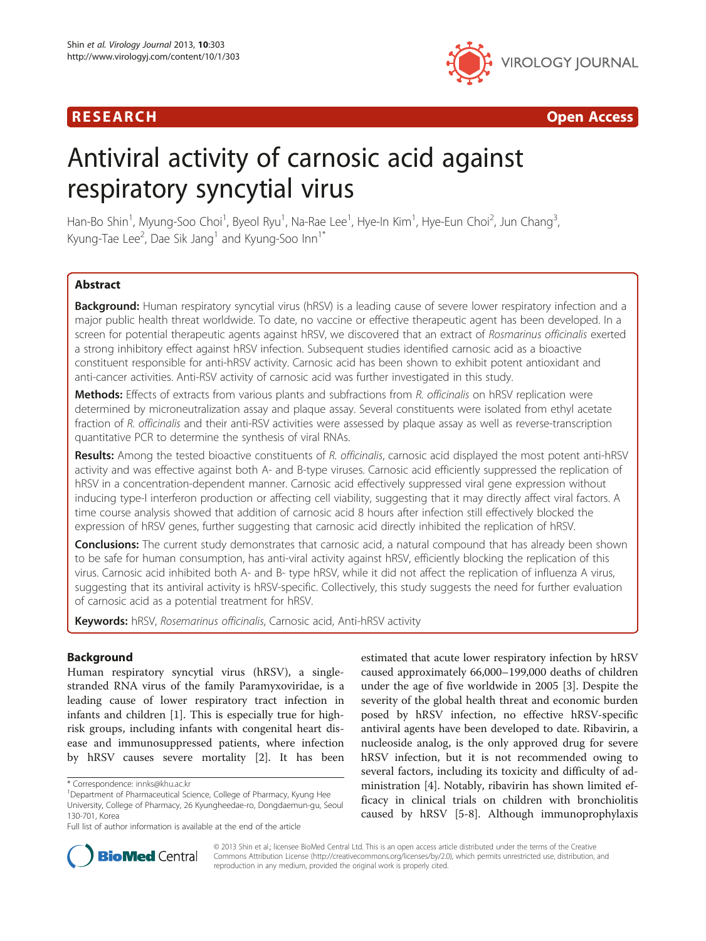## R E S EAR CH Open Access



# Antiviral activity of carnosic acid against respiratory syncytial virus

Han-Bo Shin<sup>1</sup>, Myung-Soo Choi<sup>1</sup>, Byeol Ryu<sup>1</sup>, Na-Rae Lee<sup>1</sup>, Hye-In Kim<sup>1</sup>, Hye-Eun Choi<sup>2</sup>, Jun Chang<sup>3</sup> , Kyung-Tae Lee $^2$ , Dae Sik Jang $^1$  and Kyung-Soo Inn $^1{}^*$ 

## **Abstract**

Background: Human respiratory syncytial virus (hRSV) is a leading cause of severe lower respiratory infection and a major public health threat worldwide. To date, no vaccine or effective therapeutic agent has been developed. In a screen for potential therapeutic agents against hRSV, we discovered that an extract of Rosmarinus officinalis exerted a strong inhibitory effect against hRSV infection. Subsequent studies identified carnosic acid as a bioactive constituent responsible for anti-hRSV activity. Carnosic acid has been shown to exhibit potent antioxidant and anti-cancer activities. Anti-RSV activity of carnosic acid was further investigated in this study.

**Methods:** Effects of extracts from various plants and subfractions from R. officinalis on hRSV replication were determined by microneutralization assay and plaque assay. Several constituents were isolated from ethyl acetate fraction of R. officinalis and their anti-RSV activities were assessed by plaque assay as well as reverse-transcription quantitative PCR to determine the synthesis of viral RNAs.

Results: Among the tested bioactive constituents of R. officinalis, carnosic acid displayed the most potent anti-hRSV activity and was effective against both A- and B-type viruses. Carnosic acid efficiently suppressed the replication of hRSV in a concentration-dependent manner. Carnosic acid effectively suppressed viral gene expression without inducing type-I interferon production or affecting cell viability, suggesting that it may directly affect viral factors. A time course analysis showed that addition of carnosic acid 8 hours after infection still effectively blocked the expression of hRSV genes, further suggesting that carnosic acid directly inhibited the replication of hRSV.

Conclusions: The current study demonstrates that carnosic acid, a natural compound that has already been shown to be safe for human consumption, has anti-viral activity against hRSV, efficiently blocking the replication of this virus. Carnosic acid inhibited both A- and B- type hRSV, while it did not affect the replication of influenza A virus, suggesting that its antiviral activity is hRSV-specific. Collectively, this study suggests the need for further evaluation of carnosic acid as a potential treatment for hRSV.

Keywords: hRSV, Rosemarinus officinalis, Carnosic acid, Anti-hRSV activity

## Background

Human respiratory syncytial virus (hRSV), a singlestranded RNA virus of the family Paramyxoviridae, is a leading cause of lower respiratory tract infection in infants and children [[1](#page-9-0)]. This is especially true for highrisk groups, including infants with congenital heart disease and immunosuppressed patients, where infection by hRSV causes severe mortality [\[2](#page-9-0)]. It has been

estimated that acute lower respiratory infection by hRSV caused approximately 66,000–199,000 deaths of children under the age of five worldwide in 2005 [[3\]](#page-9-0). Despite the severity of the global health threat and economic burden posed by hRSV infection, no effective hRSV-specific antiviral agents have been developed to date. Ribavirin, a nucleoside analog, is the only approved drug for severe hRSV infection, but it is not recommended owing to several factors, including its toxicity and difficulty of administration [\[4\]](#page-9-0). Notably, ribavirin has shown limited efficacy in clinical trials on children with bronchiolitis caused by hRSV [[5-8](#page-9-0)]. Although immunoprophylaxis



© 2013 Shin et al.; licensee BioMed Central Ltd. This is an open access article distributed under the terms of the Creative Commons Attribution License [\(http://creativecommons.org/licenses/by/2.0\)](http://creativecommons.org/licenses/by/2.0), which permits unrestricted use, distribution, and reproduction in any medium, provided the original work is properly cited.

<sup>\*</sup> Correspondence: [innks@khu.ac.kr](mailto:innks@khu.ac.kr) <sup>1</sup>

Department of Pharmaceutical Science, College of Pharmacy, Kyung Hee University, College of Pharmacy, 26 Kyungheedae-ro, Dongdaemun-gu, Seoul 130-701, Korea

Full list of author information is available at the end of the article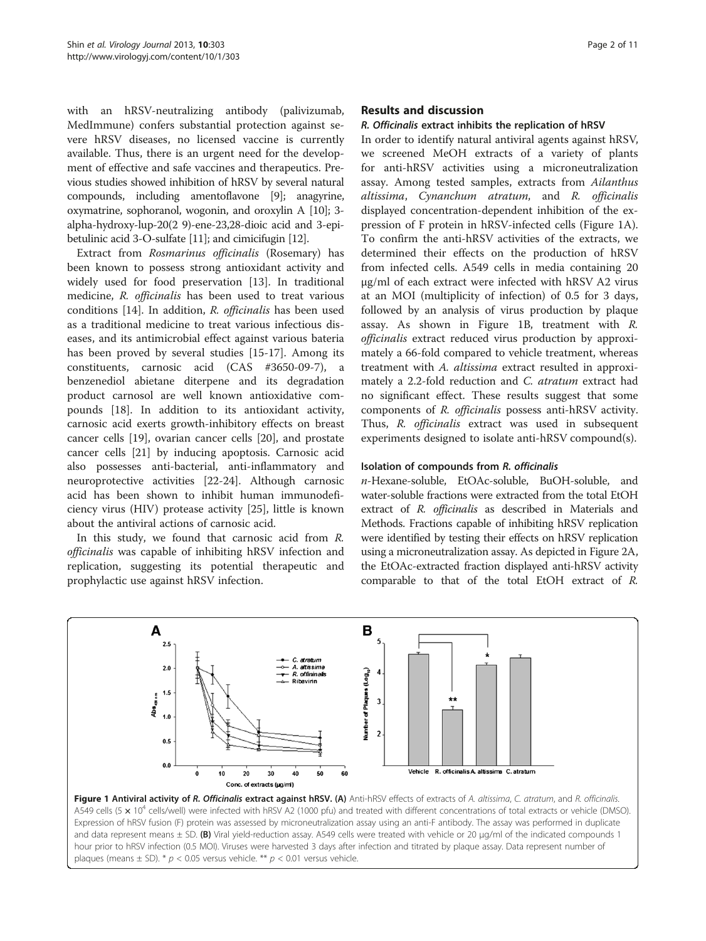<span id="page-1-0"></span>with an hRSV-neutralizing antibody (palivizumab, MedImmune) confers substantial protection against severe hRSV diseases, no licensed vaccine is currently available. Thus, there is an urgent need for the development of effective and safe vaccines and therapeutics. Previous studies showed inhibition of hRSV by several natural compounds, including amentoflavone [\[9\]](#page-9-0); anagyrine, oxymatrine, sophoranol, wogonin, and oroxylin A [\[10\]](#page-9-0); 3 alpha-hydroxy-lup-20(2 9)-ene-23,28-dioic acid and 3-epibetulinic acid 3-O-sulfate [\[11\]](#page-9-0); and cimicifugin [\[12\]](#page-9-0).

Extract from Rosmarinus officinalis (Rosemary) has been known to possess strong antioxidant activity and widely used for food preservation [\[13](#page-9-0)]. In traditional medicine, R. officinalis has been used to treat various conditions [\[14](#page-9-0)]. In addition, R. officinalis has been used as a traditional medicine to treat various infectious diseases, and its antimicrobial effect against various bateria has been proved by several studies [\[15-17](#page-9-0)]. Among its constituents, carnosic acid (CAS #3650-09-7), a benzenediol abietane diterpene and its degradation product carnosol are well known antioxidative compounds [[18\]](#page-9-0). In addition to its antioxidant activity, carnosic acid exerts growth-inhibitory effects on breast cancer cells [[19\]](#page-9-0), ovarian cancer cells [[20\]](#page-9-0), and prostate cancer cells [\[21](#page-9-0)] by inducing apoptosis. Carnosic acid also possesses anti-bacterial, anti-inflammatory and neuroprotective activities [[22-24](#page-9-0)]. Although carnosic acid has been shown to inhibit human immunodeficiency virus (HIV) protease activity [[25](#page-9-0)], little is known about the antiviral actions of carnosic acid.

In this study, we found that carnosic acid from R. officinalis was capable of inhibiting hRSV infection and replication, suggesting its potential therapeutic and prophylactic use against hRSV infection.

#### Results and discussion

#### R. Officinalis extract inhibits the replication of hRSV

In order to identify natural antiviral agents against hRSV, we screened MeOH extracts of a variety of plants for anti-hRSV activities using a microneutralization assay. Among tested samples, extracts from Ailanthus altissima, Cynanchum atratum, and R. officinalis displayed concentration-dependent inhibition of the expression of F protein in hRSV-infected cells (Figure 1A). To confirm the anti-hRSV activities of the extracts, we determined their effects on the production of hRSV from infected cells. A549 cells in media containing 20 μg/ml of each extract were infected with hRSV A2 virus at an MOI (multiplicity of infection) of 0.5 for 3 days, followed by an analysis of virus production by plaque assay. As shown in Figure 1B, treatment with R. officinalis extract reduced virus production by approximately a 66-fold compared to vehicle treatment, whereas treatment with A. altissima extract resulted in approximately a 2.2-fold reduction and C. atratum extract had no significant effect. These results suggest that some components of R. officinalis possess anti-hRSV activity. Thus, R. officinalis extract was used in subsequent experiments designed to isolate anti-hRSV compound(s).

#### Isolation of compounds from R. officinalis

n-Hexane-soluble, EtOAc-soluble, BuOH-soluble, and water-soluble fractions were extracted from the total EtOH extract of R. officinalis as described in Materials and Methods. Fractions capable of inhibiting hRSV replication were identified by testing their effects on hRSV replication using a microneutralization assay. As depicted in Figure [2](#page-2-0)A, the EtOAc-extracted fraction displayed anti-hRSV activity comparable to that of the total EtOH extract of R.



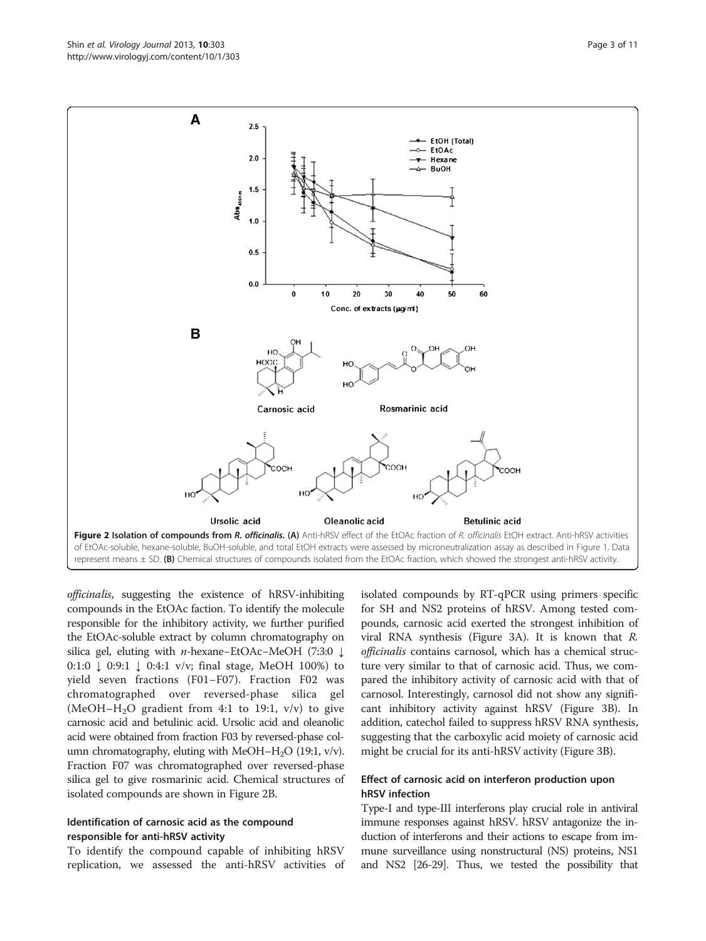officinalis, suggesting the existence of hRSV-inhibiting compounds in the EtOAc faction. To identify the molecule responsible for the inhibitory activity, we further purified the EtOAc-soluble extract by column chromatography on silica gel, eluting with n-hexane−EtOAc−MeOH (7:3:0 ↓ 0:1:0 ↓ 0:9:1 ↓ 0:4:1 v/v; final stage, MeOH 100%) to yield seven fractions (F01−F07). Fraction F02 was chromatographed over reversed-phase silica gel (MeOH–H<sub>2</sub>O gradient from 4:1 to 19:1,  $v/v$ ) to give carnosic acid and betulinic acid. Ursolic acid and oleanolic acid were obtained from fraction F03 by reversed-phase column chromatography, eluting with MeOH–H<sub>2</sub>O (19:1, v/v). Fraction F07 was chromatographed over reversed-phase silica gel to give rosmarinic acid. Chemical structures of isolated compounds are shown in Figure 2B.

## Identification of carnosic acid as the compound responsible for anti-hRSV activity

To identify the compound capable of inhibiting hRSV replication, we assessed the anti-hRSV activities of

isolated compounds by RT-qPCR using primers specific for SH and NS2 proteins of hRSV. Among tested compounds, carnosic acid exerted the strongest inhibition of viral RNA synthesis (Figure [3](#page-3-0)A). It is known that R. officinalis contains carnosol, which has a chemical structure very similar to that of carnosic acid. Thus, we compared the inhibitory activity of carnosic acid with that of carnosol. Interestingly, carnosol did not show any significant inhibitory activity against hRSV (Figure [3B](#page-3-0)). In addition, catechol failed to suppress hRSV RNA synthesis, suggesting that the carboxylic acid moiety of carnosic acid might be crucial for its anti-hRSV activity (Figure [3B](#page-3-0)).

### Effect of carnosic acid on interferon production upon hRSV infection

Type-I and type-III interferons play crucial role in antiviral immune responses against hRSV. hRSV antagonize the induction of interferons and their actions to escape from immune surveillance using nonstructural (NS) proteins, NS1 and NS2 [[26-29\]](#page-9-0). Thus, we tested the possibility that

<span id="page-2-0"></span>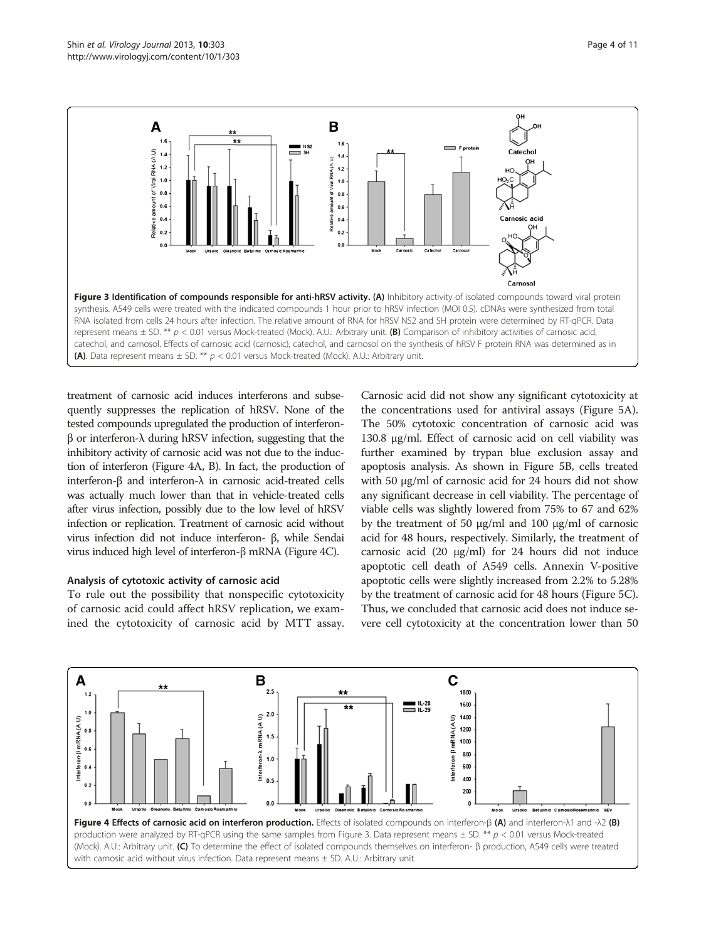<span id="page-3-0"></span>

treatment of carnosic acid induces interferons and subsequently suppresses the replication of hRSV. None of the tested compounds upregulated the production of interferonβ or interferon-λ during hRSV infection, suggesting that the inhibitory activity of carnosic acid was not due to the induction of interferon (Figure 4A, B). In fact, the production of interferon-β and interferon-λ in carnosic acid-treated cells was actually much lower than that in vehicle-treated cells after virus infection, possibly due to the low level of hRSV infection or replication. Treatment of carnosic acid without virus infection did not induce interferon- β, while Sendai virus induced high level of interferon-β mRNA (Figure 4C).

#### Analysis of cytotoxic activity of carnosic acid

To rule out the possibility that nonspecific cytotoxicity of carnosic acid could affect hRSV replication, we examined the cytotoxicity of carnosic acid by MTT assay. Carnosic acid did not show any significant cytotoxicity at the concentrations used for antiviral assays (Figure [5A](#page-4-0)). The 50% cytotoxic concentration of carnosic acid was 130.8 μg/ml. Effect of carnosic acid on cell viability was further examined by trypan blue exclusion assay and apoptosis analysis. As shown in Figure [5B](#page-4-0), cells treated with 50 μg/ml of carnosic acid for 24 hours did not show any significant decrease in cell viability. The percentage of viable cells was slightly lowered from 75% to 67 and 62% by the treatment of 50 μg/ml and 100 μg/ml of carnosic acid for 48 hours, respectively. Similarly, the treatment of carnosic acid (20 μg/ml) for 24 hours did not induce apoptotic cell death of A549 cells. Annexin V-positive apoptotic cells were slightly increased from 2.2% to 5.28% by the treatment of carnosic acid for 48 hours (Figure [5C](#page-4-0)). Thus, we concluded that carnosic acid does not induce severe cell cytotoxicity at the concentration lower than 50

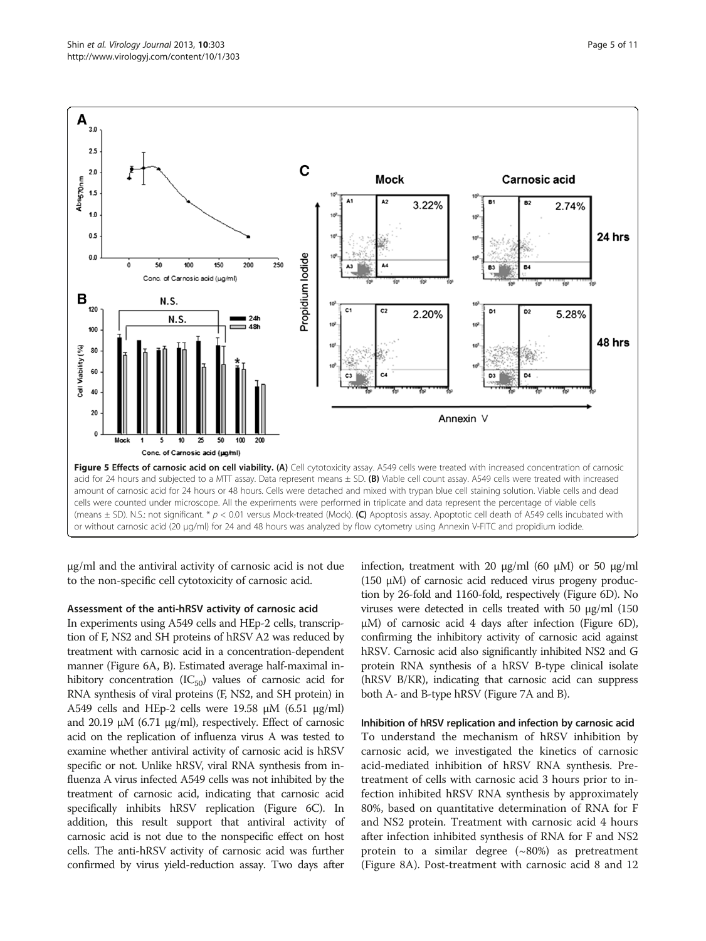<span id="page-4-0"></span>

μg/ml and the antiviral activity of carnosic acid is not due to the non-specific cell cytotoxicity of carnosic acid.

#### Assessment of the anti-hRSV activity of carnosic acid

In experiments using A549 cells and HEp-2 cells, transcription of F, NS2 and SH proteins of hRSV A2 was reduced by treatment with carnosic acid in a concentration-dependent manner (Figure [6](#page-5-0)A, B). Estimated average half-maximal inhibitory concentration  $(IC_{50})$  values of carnosic acid for RNA synthesis of viral proteins (F, NS2, and SH protein) in A549 cells and HEp-2 cells were 19.58 μM  $(6.51 \text{ µg/ml})$ and 20.19 μM (6.71 μg/ml), respectively. Effect of carnosic acid on the replication of influenza virus A was tested to examine whether antiviral activity of carnosic acid is hRSV specific or not. Unlike hRSV, viral RNA synthesis from influenza A virus infected A549 cells was not inhibited by the treatment of carnosic acid, indicating that carnosic acid specifically inhibits hRSV replication (Figure [6C](#page-5-0)). In addition, this result support that antiviral activity of carnosic acid is not due to the nonspecific effect on host cells. The anti-hRSV activity of carnosic acid was further confirmed by virus yield-reduction assay. Two days after

infection, treatment with 20 μg/ml (60 μM) or 50 μg/ml (150 μM) of carnosic acid reduced virus progeny production by 26-fold and 1160-fold, respectively (Figure [6](#page-5-0)D). No viruses were detected in cells treated with 50 μg/ml (150 μM) of carnosic acid 4 days after infection (Figure [6](#page-5-0)D), confirming the inhibitory activity of carnosic acid against hRSV. Carnosic acid also significantly inhibited NS2 and G protein RNA synthesis of a hRSV B-type clinical isolate (hRSV B/KR), indicating that carnosic acid can suppress both A- and B-type hRSV (Figure [7](#page-5-0)A and B).

## Inhibition of hRSV replication and infection by carnosic acid To understand the mechanism of hRSV inhibition by carnosic acid, we investigated the kinetics of carnosic acid-mediated inhibition of hRSV RNA synthesis. Pretreatment of cells with carnosic acid 3 hours prior to infection inhibited hRSV RNA synthesis by approximately 80%, based on quantitative determination of RNA for F and NS2 protein. Treatment with carnosic acid 4 hours after infection inhibited synthesis of RNA for F and NS2 protein to a similar degree (~80%) as pretreatment (Figure [8](#page-6-0)A). Post-treatment with carnosic acid 8 and 12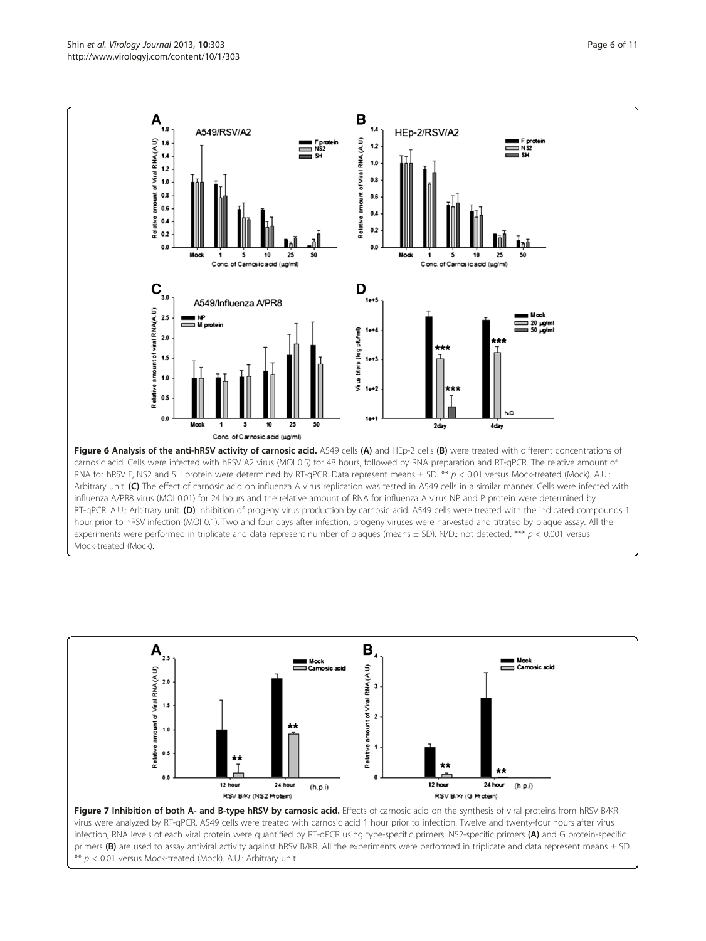<span id="page-5-0"></span>



virus were analyzed by RT-qPCR. A549 cells were treated with carnosic acid 1 hour prior to infection. Twelve and twenty-four hours after virus infection, RNA levels of each viral protein were quantified by RT-qPCR using type-specific primers. NS2-specific primers (A) and G protein-specific primers (B) are used to assay antiviral activity against hRSV B/KR. All the experiments were performed in triplicate and data represent means  $\pm$  SD.  $* p < 0.01$  versus Mock-treated (Mock). A.U.: Arbitrary unit.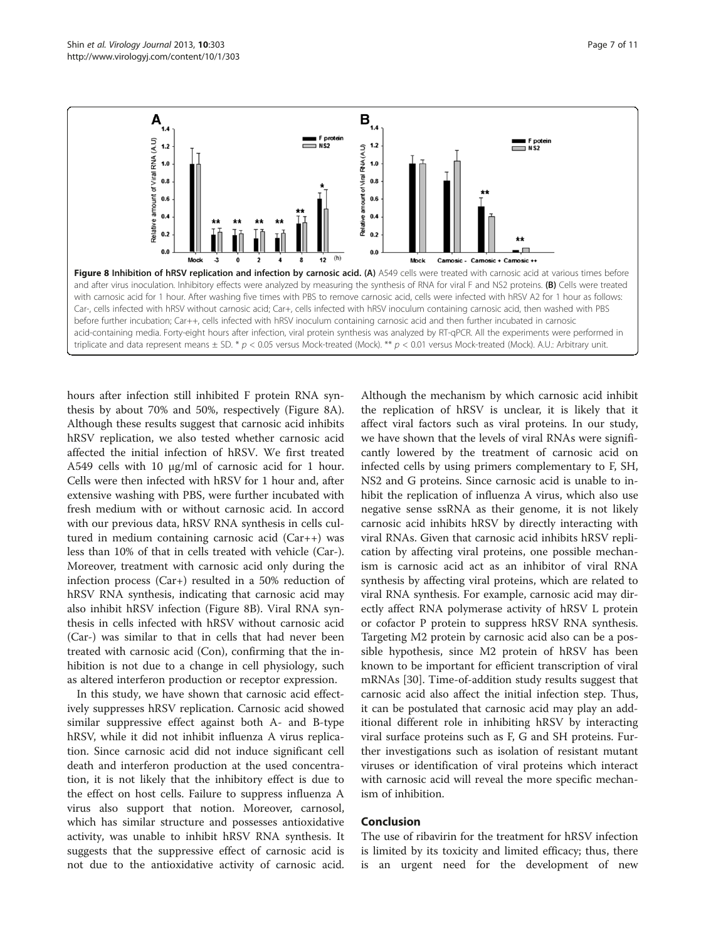<span id="page-6-0"></span>

hours after infection still inhibited F protein RNA synthesis by about 70% and 50%, respectively (Figure 8A). Although these results suggest that carnosic acid inhibits hRSV replication, we also tested whether carnosic acid affected the initial infection of hRSV. We first treated A549 cells with 10 μg/ml of carnosic acid for 1 hour. Cells were then infected with hRSV for 1 hour and, after extensive washing with PBS, were further incubated with fresh medium with or without carnosic acid. In accord with our previous data, hRSV RNA synthesis in cells cultured in medium containing carnosic acid (Car++) was less than 10% of that in cells treated with vehicle (Car-). Moreover, treatment with carnosic acid only during the infection process (Car+) resulted in a 50% reduction of hRSV RNA synthesis, indicating that carnosic acid may also inhibit hRSV infection (Figure 8B). Viral RNA synthesis in cells infected with hRSV without carnosic acid (Car-) was similar to that in cells that had never been treated with carnosic acid (Con), confirming that the inhibition is not due to a change in cell physiology, such as altered interferon production or receptor expression.

In this study, we have shown that carnosic acid effectively suppresses hRSV replication. Carnosic acid showed similar suppressive effect against both A- and B-type hRSV, while it did not inhibit influenza A virus replication. Since carnosic acid did not induce significant cell death and interferon production at the used concentration, it is not likely that the inhibitory effect is due to the effect on host cells. Failure to suppress influenza A virus also support that notion. Moreover, carnosol, which has similar structure and possesses antioxidative activity, was unable to inhibit hRSV RNA synthesis. It suggests that the suppressive effect of carnosic acid is not due to the antioxidative activity of carnosic acid. Although the mechanism by which carnosic acid inhibit the replication of hRSV is unclear, it is likely that it affect viral factors such as viral proteins. In our study, we have shown that the levels of viral RNAs were significantly lowered by the treatment of carnosic acid on infected cells by using primers complementary to F, SH, NS2 and G proteins. Since carnosic acid is unable to inhibit the replication of influenza A virus, which also use negative sense ssRNA as their genome, it is not likely carnosic acid inhibits hRSV by directly interacting with viral RNAs. Given that carnosic acid inhibits hRSV replication by affecting viral proteins, one possible mechanism is carnosic acid act as an inhibitor of viral RNA synthesis by affecting viral proteins, which are related to viral RNA synthesis. For example, carnosic acid may directly affect RNA polymerase activity of hRSV L protein or cofactor P protein to suppress hRSV RNA synthesis. Targeting M2 protein by carnosic acid also can be a possible hypothesis, since M2 protein of hRSV has been known to be important for efficient transcription of viral mRNAs [\[30](#page-9-0)]. Time-of-addition study results suggest that carnosic acid also affect the initial infection step. Thus, it can be postulated that carnosic acid may play an additional different role in inhibiting hRSV by interacting viral surface proteins such as F, G and SH proteins. Further investigations such as isolation of resistant mutant viruses or identification of viral proteins which interact with carnosic acid will reveal the more specific mechanism of inhibition.

## Conclusion

The use of ribavirin for the treatment for hRSV infection is limited by its toxicity and limited efficacy; thus, there is an urgent need for the development of new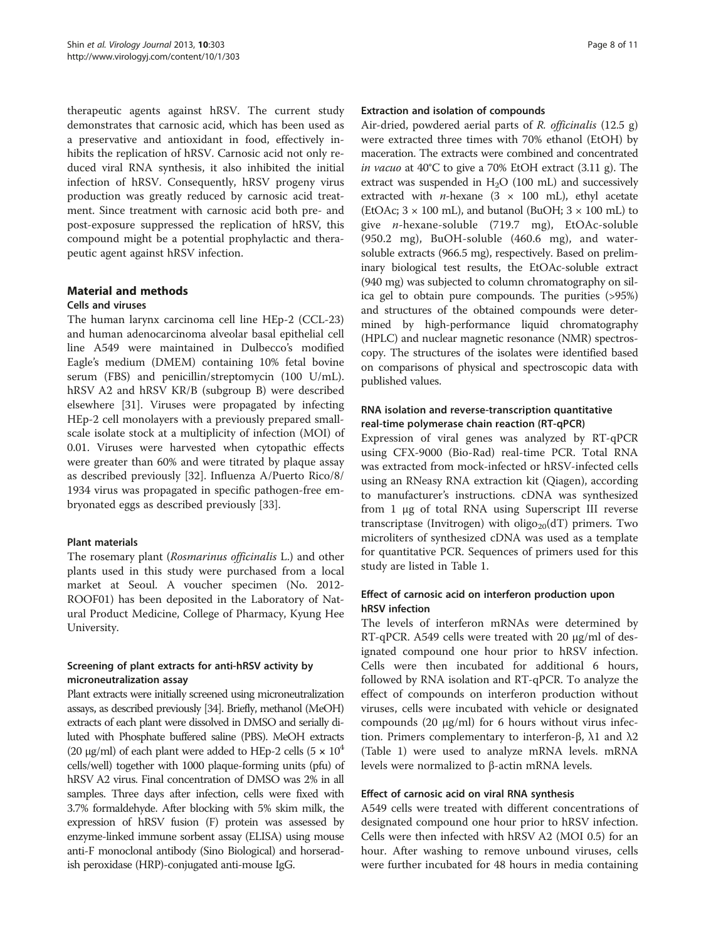therapeutic agents against hRSV. The current study demonstrates that carnosic acid, which has been used as a preservative and antioxidant in food, effectively inhibits the replication of hRSV. Carnosic acid not only reduced viral RNA synthesis, it also inhibited the initial infection of hRSV. Consequently, hRSV progeny virus production was greatly reduced by carnosic acid treatment. Since treatment with carnosic acid both pre- and post-exposure suppressed the replication of hRSV, this compound might be a potential prophylactic and therapeutic agent against hRSV infection.

## Material and methods

#### Cells and viruses

The human larynx carcinoma cell line HEp-2 (CCL-23) and human adenocarcinoma alveolar basal epithelial cell line A549 were maintained in Dulbecco's modified Eagle's medium (DMEM) containing 10% fetal bovine serum (FBS) and penicillin/streptomycin (100 U/mL). hRSV A2 and hRSV KR/B (subgroup B) were described elsewhere [[31](#page-9-0)]. Viruses were propagated by infecting HEp-2 cell monolayers with a previously prepared smallscale isolate stock at a multiplicity of infection (MOI) of 0.01. Viruses were harvested when cytopathic effects were greater than 60% and were titrated by plaque assay as described previously [[32\]](#page-9-0). Influenza A/Puerto Rico/8/ 1934 virus was propagated in specific pathogen-free embryonated eggs as described previously [[33\]](#page-10-0).

#### Plant materials

The rosemary plant (*Rosmarinus officinalis L*.) and other plants used in this study were purchased from a local market at Seoul. A voucher specimen (No. 2012- ROOF01) has been deposited in the Laboratory of Natural Product Medicine, College of Pharmacy, Kyung Hee University.

## Screening of plant extracts for anti-hRSV activity by microneutralization assay

Plant extracts were initially screened using microneutralization assays, as described previously [\[34](#page-10-0)]. Briefly, methanol (MeOH) extracts of each plant were dissolved in DMSO and serially diluted with Phosphate buffered saline (PBS). MeOH extracts (20  $\mu$ g/ml) of each plant were added to HEp-2 cells (5  $\times$  10<sup>4</sup>) cells/well) together with 1000 plaque-forming units (pfu) of hRSV A2 virus. Final concentration of DMSO was 2% in all samples. Three days after infection, cells were fixed with 3.7% formaldehyde. After blocking with 5% skim milk, the expression of hRSV fusion (F) protein was assessed by enzyme-linked immune sorbent assay (ELISA) using mouse anti-F monoclonal antibody (Sino Biological) and horseradish peroxidase (HRP)-conjugated anti-mouse IgG.

#### Extraction and isolation of compounds

Air-dried, powdered aerial parts of R. officinalis (12.5 g) were extracted three times with 70% ethanol (EtOH) by maceration. The extracts were combined and concentrated in vacuo at 40°C to give a 70% EtOH extract (3.11 g). The extract was suspended in  $H<sub>2</sub>O$  (100 mL) and successively extracted with *n*-hexane  $(3 \times 100 \text{ mL})$ , ethyl acetate (EtOAc;  $3 \times 100$  mL), and butanol (BuOH;  $3 \times 100$  mL) to give n-hexane-soluble (719.7 mg), EtOAc-soluble (950.2 mg), BuOH-soluble (460.6 mg), and watersoluble extracts (966.5 mg), respectively. Based on preliminary biological test results, the EtOAc-soluble extract (940 mg) was subjected to column chromatography on silica gel to obtain pure compounds. The purities (>95%) and structures of the obtained compounds were determined by high-performance liquid chromatography (HPLC) and nuclear magnetic resonance (NMR) spectroscopy. The structures of the isolates were identified based on comparisons of physical and spectroscopic data with published values.

### RNA isolation and reverse-transcription quantitative real-time polymerase chain reaction (RT-qPCR)

Expression of viral genes was analyzed by RT-qPCR using CFX-9000 (Bio-Rad) real-time PCR. Total RNA was extracted from mock-infected or hRSV-infected cells using an RNeasy RNA extraction kit (Qiagen), according to manufacturer's instructions. cDNA was synthesized from 1 μg of total RNA using Superscript III reverse transcriptase (Invitrogen) with oligo<sub>20</sub>(dT) primers. Two microliters of synthesized cDNA was used as a template for quantitative PCR. Sequences of primers used for this study are listed in Table [1](#page-8-0).

## Effect of carnosic acid on interferon production upon hRSV infection

The levels of interferon mRNAs were determined by RT-qPCR. A549 cells were treated with 20 μg/ml of designated compound one hour prior to hRSV infection. Cells were then incubated for additional 6 hours, followed by RNA isolation and RT-qPCR. To analyze the effect of compounds on interferon production without viruses, cells were incubated with vehicle or designated compounds (20 μg/ml) for 6 hours without virus infection. Primers complementary to interferon-β,  $\lambda$ 1 and  $\lambda$ 2 (Table [1](#page-8-0)) were used to analyze mRNA levels. mRNA levels were normalized to β-actin mRNA levels.

#### Effect of carnosic acid on viral RNA synthesis

A549 cells were treated with different concentrations of designated compound one hour prior to hRSV infection. Cells were then infected with hRSV A2 (MOI 0.5) for an hour. After washing to remove unbound viruses, cells were further incubated for 48 hours in media containing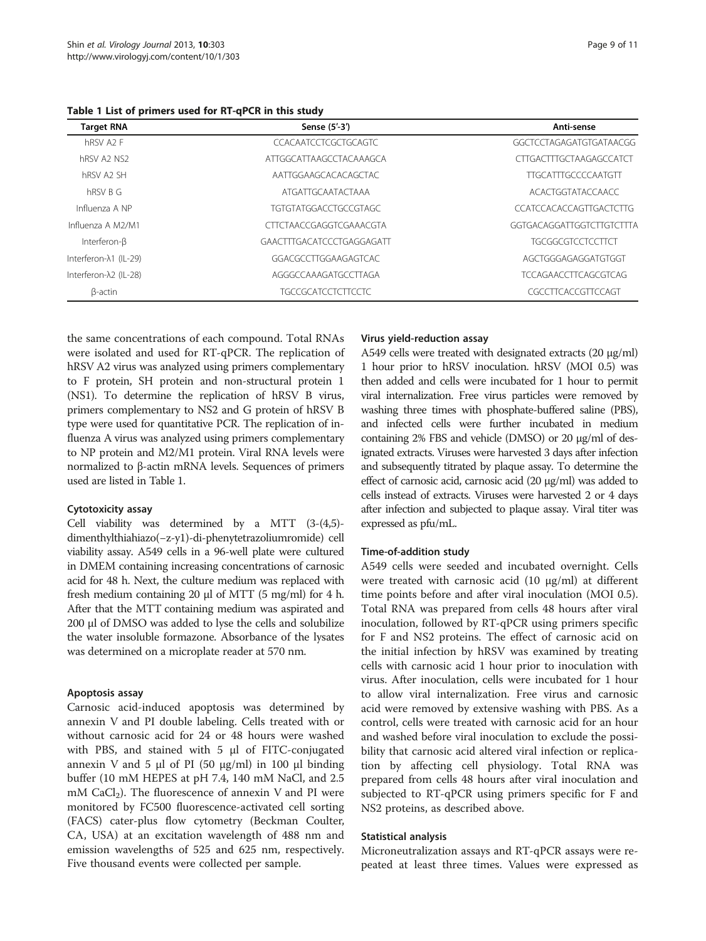<span id="page-8-0"></span>Table 1 List of primers used for RT-qPCR in this study

| <b>Target RNA</b>     | Sense (5'-3')                | Anti-sense                     |
|-----------------------|------------------------------|--------------------------------|
| hRSV A <sub>2</sub> F | CCACAATCCTCGCTGCAGTC         | GGCTCCTAGAGATGTGATAACGG        |
| hRSV A2 NS2           | ATTGGCATTAAGCCTACAAAGCA      | <b>CITGACTITGCTAAGAGCCATCT</b> |
| <b>hRSV A2 SH</b>     | AATTGGAAGCACACAGCTAC         | <b>TTGCATTTGCCCCAATGTT</b>     |
| hRSV B G              | <b>ATGATTGCAATACTAAA</b>     | ACACTGGTATACCAACC              |
| Influenza A NP        | <b>TGTGTATGGACCTGCCGTAGC</b> | CCATCCACACCAGTTGACTCTTG        |
| Influenza A M2/M1     | CITCTAACCGAGGTCGAAACGTA      | GGTGACAGGATTGGTCTTGTCTTTA      |
| Interferon- $\beta$   | GAACTTTGACATCCCTGAGGAGATT    | <b>TGCGGCGTCCTCCTTCT</b>       |
| Interferon-λ1 (IL-29) | GGACGCCTTGGAAGAGTCAC         | AGCTGGGAGAGGATGTGGT            |
| Interferon-λ2 (IL-28) | AGGGCCAAAGATGCCTTAGA         | <b>TCCAGAACCTTCAGCGTCAG</b>    |
| $\beta$ -actin        | <b>TGCCGCATCCTCTTCCTC</b>    | CGCCTTCACCGTTCCAGT             |

the same concentrations of each compound. Total RNAs were isolated and used for RT-qPCR. The replication of hRSV A2 virus was analyzed using primers complementary to F protein, SH protein and non-structural protein 1 (NS1). To determine the replication of hRSV B virus, primers complementary to NS2 and G protein of hRSV B type were used for quantitative PCR. The replication of influenza A virus was analyzed using primers complementary to NP protein and M2/M1 protein. Viral RNA levels were normalized to β-actin mRNA levels. Sequences of primers used are listed in Table 1.

#### Cytotoxicity assay

Cell viability was determined by a MTT (3-(4,5) dimenthylthiahiazo(−z-y1)-di-phenytetrazoliumromide) cell viability assay. A549 cells in a 96-well plate were cultured in DMEM containing increasing concentrations of carnosic acid for 48 h. Next, the culture medium was replaced with fresh medium containing 20 μl of MTT (5 mg/ml) for 4 h. After that the MTT containing medium was aspirated and 200 μl of DMSO was added to lyse the cells and solubilize the water insoluble formazone. Absorbance of the lysates was determined on a microplate reader at 570 nm.

#### Apoptosis assay

Carnosic acid-induced apoptosis was determined by annexin V and PI double labeling. Cells treated with or without carnosic acid for 24 or 48 hours were washed with PBS, and stained with 5 μl of FITC-conjugated annexin V and 5 μl of PI (50 μg/ml) in 100 μl binding buffer (10 mM HEPES at pH 7.4, 140 mM NaCl, and 2.5 mM  $CaCl<sub>2</sub>$ ). The fluorescence of annexin V and PI were monitored by FC500 fluorescence-activated cell sorting (FACS) cater-plus flow cytometry (Beckman Coulter, CA, USA) at an excitation wavelength of 488 nm and emission wavelengths of 525 and 625 nm, respectively. Five thousand events were collected per sample.

#### Virus yield-reduction assay

A549 cells were treated with designated extracts (20 μg/ml) 1 hour prior to hRSV inoculation. hRSV (MOI 0.5) was then added and cells were incubated for 1 hour to permit viral internalization. Free virus particles were removed by washing three times with phosphate-buffered saline (PBS), and infected cells were further incubated in medium containing 2% FBS and vehicle (DMSO) or 20 μg/ml of designated extracts. Viruses were harvested 3 days after infection and subsequently titrated by plaque assay. To determine the effect of carnosic acid, carnosic acid (20 μg/ml) was added to cells instead of extracts. Viruses were harvested 2 or 4 days after infection and subjected to plaque assay. Viral titer was expressed as pfu/mL.

#### Time-of-addition study

A549 cells were seeded and incubated overnight. Cells were treated with carnosic acid (10 μg/ml) at different time points before and after viral inoculation (MOI 0.5). Total RNA was prepared from cells 48 hours after viral inoculation, followed by RT-qPCR using primers specific for F and NS2 proteins. The effect of carnosic acid on the initial infection by hRSV was examined by treating cells with carnosic acid 1 hour prior to inoculation with virus. After inoculation, cells were incubated for 1 hour to allow viral internalization. Free virus and carnosic acid were removed by extensive washing with PBS. As a control, cells were treated with carnosic acid for an hour and washed before viral inoculation to exclude the possibility that carnosic acid altered viral infection or replication by affecting cell physiology. Total RNA was prepared from cells 48 hours after viral inoculation and subjected to RT-qPCR using primers specific for F and NS2 proteins, as described above.

#### Statistical analysis

Microneutralization assays and RT-qPCR assays were repeated at least three times. Values were expressed as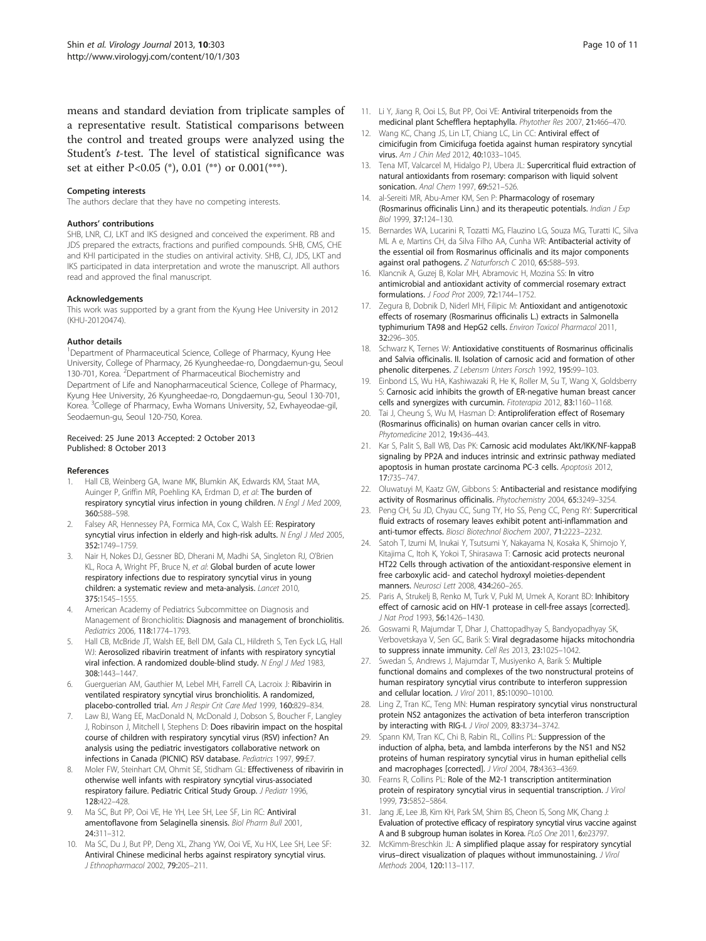<span id="page-9-0"></span>means and standard deviation from triplicate samples of a representative result. Statistical comparisons between the control and treated groups were analyzed using the Student's t-test. The level of statistical significance was set at either P<0.05 (\*), 0.01 (\*\*) or 0.001(\*\*\*).

#### Competing interests

The authors declare that they have no competing interests.

#### Authors' contributions

SHB, LNR, CJ, LKT and IKS designed and conceived the experiment. RB and JDS prepared the extracts, fractions and purified compounds. SHB, CMS, CHE and KHI participated in the studies on antiviral activity. SHB, CJ, JDS, LKT and IKS participated in data interpretation and wrote the manuscript. All authors read and approved the final manuscript.

#### Acknowledgements

This work was supported by a grant from the Kyung Hee University in 2012 (KHU-20120474).

#### Author details

<sup>1</sup>Department of Pharmaceutical Science, College of Pharmacy, Kyung Hee University, College of Pharmacy, 26 Kyungheedae-ro, Dongdaemun-gu, Seoul 130-701, Korea. <sup>2</sup> Department of Pharmaceutical Biochemistry and Department of Life and Nanopharmaceutical Science, College of Pharmacy, Kyung Hee University, 26 Kyungheedae-ro, Dongdaemun-gu, Seoul 130-701, Korea. <sup>3</sup>College of Pharmacy, Ewha Womans University, 52, Ewhayeodae-gil, Seodaemun-gu, Seoul 120-750, Korea.

#### Received: 25 June 2013 Accepted: 2 October 2013 Published: 8 October 2013

#### References

- 1. Hall CB, Weinberg GA, Iwane MK, Blumkin AK, Edwards KM, Staat MA, Auinger P, Griffin MR, Poehling KA, Erdman D, et al: The burden of respiratory syncytial virus infection in young children. N Engl J Med 2009, 360:588–598.
- Falsey AR, Hennessey PA, Formica MA, Cox C, Walsh EE: Respiratory syncytial virus infection in elderly and high-risk adults. N Engl J Med 2005, 352:1749–1759.
- 3. Nair H, Nokes DJ, Gessner BD, Dherani M, Madhi SA, Singleton RJ, O'Brien KL, Roca A, Wright PF, Bruce N, et al: Global burden of acute lower respiratory infections due to respiratory syncytial virus in young children: a systematic review and meta-analysis. Lancet 2010, 375:1545–1555.
- 4. American Academy of Pediatrics Subcommittee on Diagnosis and Management of Bronchiolitis: Diagnosis and management of bronchiolitis. Pediatrics 2006, 118:1774–1793.
- 5. Hall CB, McBride JT, Walsh EE, Bell DM, Gala CL, Hildreth S, Ten Eyck LG, Hall WJ: Aerosolized ribavirin treatment of infants with respiratory syncytial viral infection. A randomized double-blind study. N Engl J Med 1983, 308:1443–1447.
- 6. Guerguerian AM, Gauthier M, Lebel MH, Farrell CA, Lacroix J: Ribavirin in ventilated respiratory syncytial virus bronchiolitis. A randomized, placebo-controlled trial. Am J Respir Crit Care Med 1999, 160:829–834.
- 7. Law BJ, Wang EE, MacDonald N, McDonald J, Dobson S, Boucher F, Langley J, Robinson J, Mitchell I, Stephens D: Does ribavirin impact on the hospital course of children with respiratory syncytial virus (RSV) infection? An analysis using the pediatric investigators collaborative network on infections in Canada (PICNIC) RSV database. Pediatrics 1997, 99:E7.
- 8. Moler FW, Steinhart CM, Ohmit SE, Stidham GL: Effectiveness of ribavirin in otherwise well infants with respiratory syncytial virus-associated respiratory failure. Pediatric Critical Study Group. J Pediatr 1996, 128:422–428.
- Ma SC, But PP, Ooi VE, He YH, Lee SH, Lee SF, Lin RC: Antiviral amentoflavone from Selaginella sinensis. Biol Pharm Bull 2001, 24:311–312.
- 10. Ma SC, Du J, But PP, Deng XL, Zhang YW, Ooi VE, Xu HX, Lee SH, Lee SF: Antiviral Chinese medicinal herbs against respiratory syncytial virus. J Ethnopharmacol 2002, 79:205–211.
- 11. Li Y, Jiang R, Ooi LS, But PP, Ooi VE: Antiviral triterpenoids from the medicinal plant Schefflera heptaphylla. Phytother Res 2007, 21:466–470.
- 12. Wang KC, Chang JS, Lin LT, Chiang LC, Lin CC: Antiviral effect of cimicifugin from Cimicifuga foetida against human respiratory syncytial virus. Am J Chin Med 2012, 40:1033-1045.
- 13. Tena MT, Valcarcel M, Hidalgo PJ, Ubera JL: Supercritical fluid extraction of natural antioxidants from rosemary: comparison with liquid solvent sonication. Anal Chem 1997, 69:521–526.
- 14. al-Sereiti MR, Abu-Amer KM, Sen P: Pharmacology of rosemary (Rosmarinus officinalis Linn.) and its therapeutic potentials. Indian J Exp Biol 1999, 37:124–130.
- 15. Bernardes WA, Lucarini R, Tozatti MG, Flauzino LG, Souza MG, Turatti IC, Silva ML A e, Martins CH, da Silva Filho AA, Cunha WR: Antibacterial activity of the essential oil from Rosmarinus officinalis and its major components against oral pathogens. Z Naturforsch C 2010, 65:588-593.
- 16. Klancnik A, Guzej B, Kolar MH, Abramovic H, Mozina SS: In vitro antimicrobial and antioxidant activity of commercial rosemary extract formulations. J Food Prot 2009, 72:1744–1752.
- 17. Zegura B, Dobnik D, Niderl MH, Filipic M: Antioxidant and antigenotoxic effects of rosemary (Rosmarinus officinalis L.) extracts in Salmonella typhimurium TA98 and HepG2 cells. Environ Toxicol Pharmacol 2011, 32:296–305.
- 18. Schwarz K, Ternes W: Antioxidative constituents of Rosmarinus officinalis and Salvia officinalis. II. Isolation of carnosic acid and formation of other phenolic diterpenes. Z Lebensm Unters Forsch 1992, 195:99–103.
- 19. Einbond LS, Wu HA, Kashiwazaki R, He K, Roller M, Su T, Wang X, Goldsberry S: Carnosic acid inhibits the growth of ER-negative human breast cancer cells and synergizes with curcumin. Fitoterapia 2012, 83:1160–1168.
- Tai J, Cheung S, Wu M, Hasman D: Antiproliferation effect of Rosemary (Rosmarinus officinalis) on human ovarian cancer cells in vitro. Phytomedicine 2012, 19:436–443.
- 21. Kar S, Palit S, Ball WB, Das PK: Carnosic acid modulates Akt/IKK/NF-kappaB signaling by PP2A and induces intrinsic and extrinsic pathway mediated apoptosis in human prostate carcinoma PC-3 cells. Apoptosis 2012, 17:735–747.
- 22. Oluwatuyi M, Kaatz GW, Gibbons S: Antibacterial and resistance modifying activity of Rosmarinus officinalis. Phytochemistry 2004, 65:3249–3254.
- 23. Peng CH, Su JD, Chyau CC, Sung TY, Ho SS, Peng CC, Peng RY: Supercritical fluid extracts of rosemary leaves exhibit potent anti-inflammation and anti-tumor effects. Biosci Biotechnol Biochem 2007, 71:2223–2232.
- 24. Satoh T, Izumi M, Inukai Y, Tsutsumi Y, Nakayama N, Kosaka K, Shimojo Y, Kitajima C, Itoh K, Yokoi T, Shirasawa T: Carnosic acid protects neuronal HT22 Cells through activation of the antioxidant-responsive element in free carboxylic acid- and catechol hydroxyl moieties-dependent manners. Neurosci Lett 2008, 434:260–265.
- 25. Paris A, Strukeli B, Renko M, Turk V, Pukl M, Umek A, Korant BD: Inhibitory effect of carnosic acid on HIV-1 protease in cell-free assays [corrected]. J Nat Prod 1993, 56:1426–1430.
- 26. Goswami R, Majumdar T, Dhar J, Chattopadhyay S, Bandyopadhyay SK, Verbovetskaya V, Sen GC, Barik S: Viral degradasome hijacks mitochondria to suppress innate immunity. Cell Res 2013, 23:1025–1042.
- 27. Swedan S, Andrews J, Majumdar T, Musiyenko A, Barik S: Multiple functional domains and complexes of the two nonstructural proteins of human respiratory syncytial virus contribute to interferon suppression and cellular location. J Virol 2011, 85:10090–10100.
- 28. Ling Z, Tran KC, Teng MN: Human respiratory syncytial virus nonstructural protein NS2 antagonizes the activation of beta interferon transcription by interacting with RIG-I. J Virol 2009, 83:3734–3742.
- 29. Spann KM, Tran KC, Chi B, Rabin RL, Collins PL: Suppression of the induction of alpha, beta, and lambda interferons by the NS1 and NS2 proteins of human respiratory syncytial virus in human epithelial cells and macrophages [corrected]. J Virol 2004, 78:4363–4369.
- 30. Fearns R, Collins PL: Role of the M2-1 transcription antitermination protein of respiratory syncytial virus in sequential transcription. J Virol 1999, 73:5852–5864.
- 31. Jang JE, Lee JB, Kim KH, Park SM, Shim BS, Cheon IS, Song MK, Chang J: Evaluation of protective efficacy of respiratory syncytial virus vaccine against A and B subgroup human isolates in Korea. PLoS One 2011, 6:e23797
- 32. McKimm-Breschkin JL: A simplified plaque assay for respiratory syncytial virus–direct visualization of plaques without immunostaining. J Virol Methods 2004, 120:113–117.